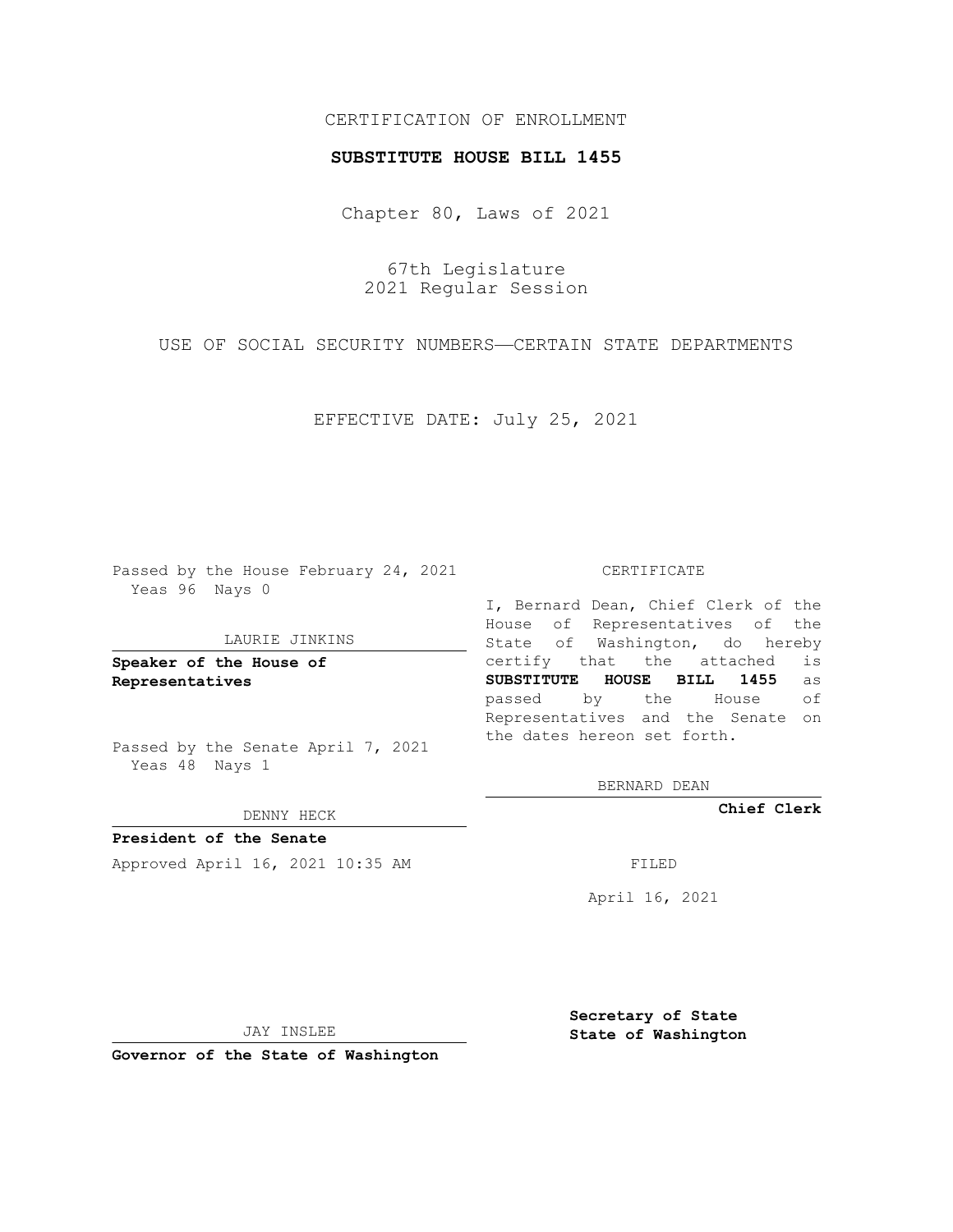# CERTIFICATION OF ENROLLMENT

### **SUBSTITUTE HOUSE BILL 1455**

Chapter 80, Laws of 2021

67th Legislature 2021 Regular Session

USE OF SOCIAL SECURITY NUMBERS—CERTAIN STATE DEPARTMENTS

EFFECTIVE DATE: July 25, 2021

Passed by the House February 24, 2021 Yeas 96 Nays 0

#### LAURIE JINKINS

**Speaker of the House of Representatives**

Passed by the Senate April 7, 2021 Yeas 48 Nays 1

### DENNY HECK

**President of the Senate** Approved April 16, 2021 10:35 AM FILED

CERTIFICATE

I, Bernard Dean, Chief Clerk of the House of Representatives of the State of Washington, do hereby certify that the attached is **SUBSTITUTE HOUSE BILL 1455** as passed by the House of Representatives and the Senate on the dates hereon set forth.

BERNARD DEAN

**Chief Clerk**

April 16, 2021

JAY INSLEE

**Governor of the State of Washington**

**Secretary of State State of Washington**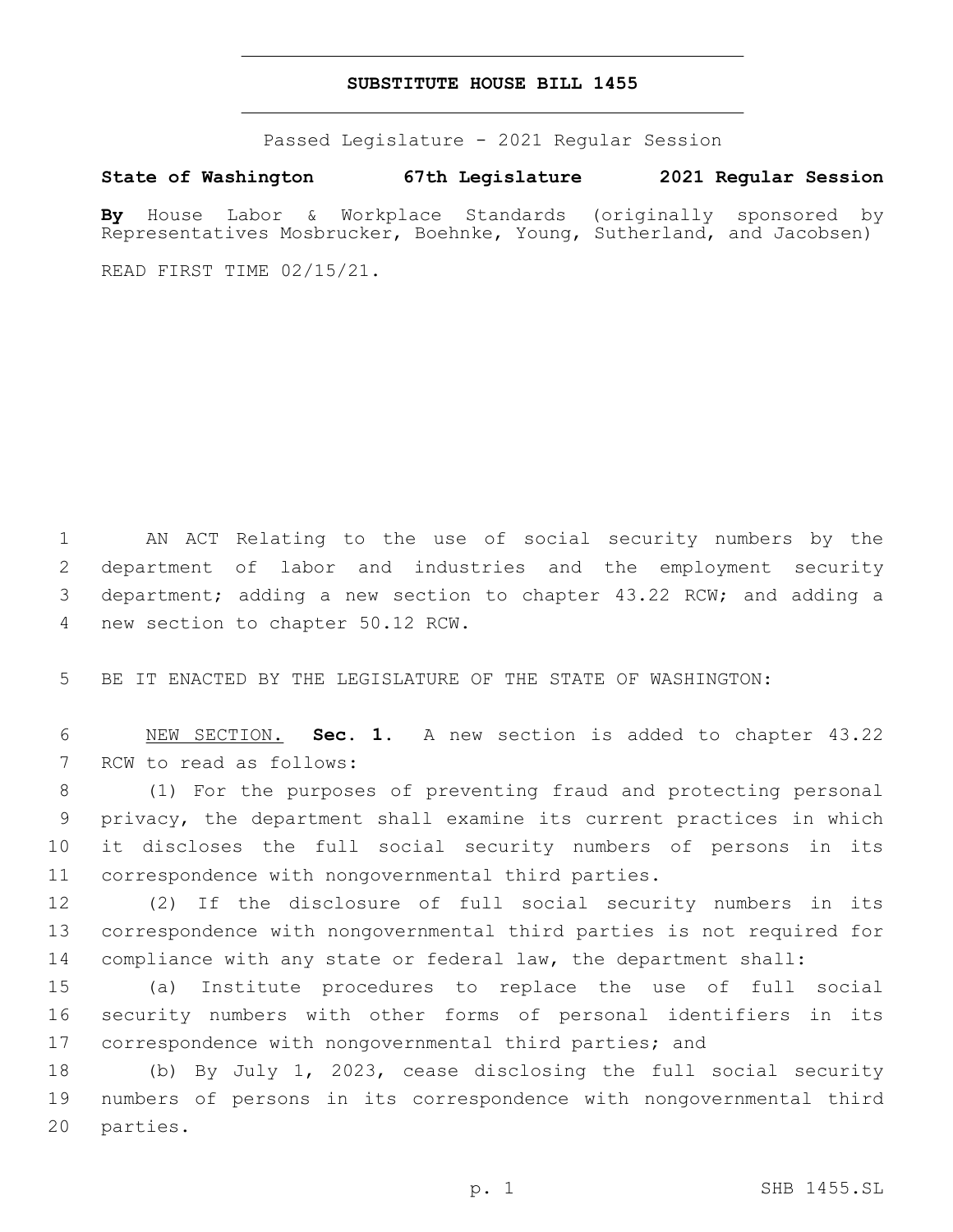## **SUBSTITUTE HOUSE BILL 1455**

Passed Legislature - 2021 Regular Session

**State of Washington 67th Legislature 2021 Regular Session**

**By** House Labor & Workplace Standards (originally sponsored by Representatives Mosbrucker, Boehnke, Young, Sutherland, and Jacobsen)

READ FIRST TIME 02/15/21.

 AN ACT Relating to the use of social security numbers by the department of labor and industries and the employment security department; adding a new section to chapter 43.22 RCW; and adding a 4 new section to chapter 50.12 RCW.

5 BE IT ENACTED BY THE LEGISLATURE OF THE STATE OF WASHINGTON:

6 NEW SECTION. **Sec. 1.** A new section is added to chapter 43.22 7 RCW to read as follows:

 (1) For the purposes of preventing fraud and protecting personal privacy, the department shall examine its current practices in which it discloses the full social security numbers of persons in its correspondence with nongovernmental third parties.

12 (2) If the disclosure of full social security numbers in its 13 correspondence with nongovernmental third parties is not required for 14 compliance with any state or federal law, the department shall:

15 (a) Institute procedures to replace the use of full social 16 security numbers with other forms of personal identifiers in its 17 correspondence with nongovernmental third parties; and

18 (b) By July 1, 2023, cease disclosing the full social security 19 numbers of persons in its correspondence with nongovernmental third 20 parties.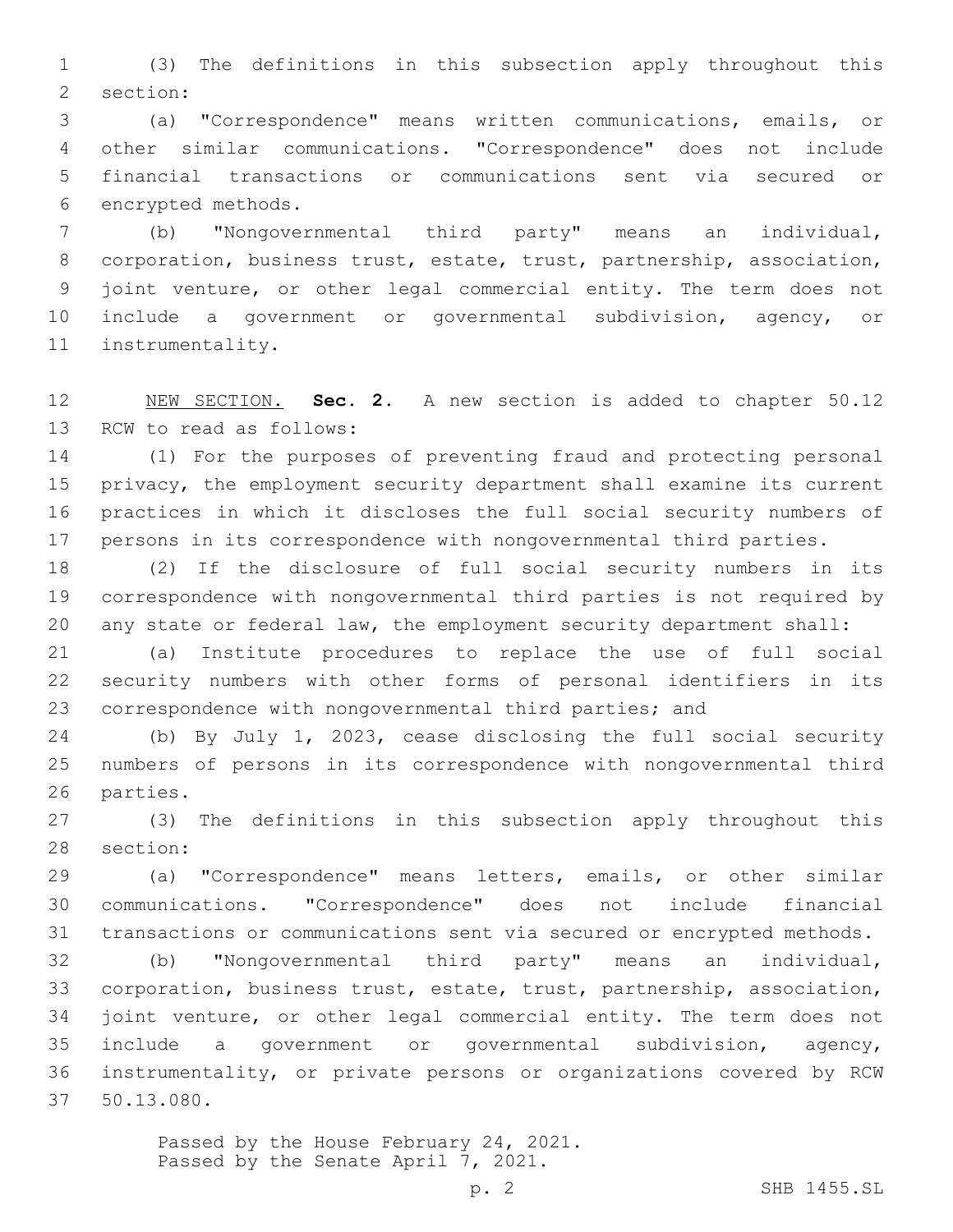(3) The definitions in this subsection apply throughout this 2 section:

 (a) "Correspondence" means written communications, emails, or other similar communications. "Correspondence" does not include financial transactions or communications sent via secured or 6 encrypted methods.

 (b) "Nongovernmental third party" means an individual, corporation, business trust, estate, trust, partnership, association, joint venture, or other legal commercial entity. The term does not include a government or governmental subdivision, agency, or 11 instrumentality.

 NEW SECTION. **Sec. 2.** A new section is added to chapter 50.12 13 RCW to read as follows:

 (1) For the purposes of preventing fraud and protecting personal privacy, the employment security department shall examine its current practices in which it discloses the full social security numbers of persons in its correspondence with nongovernmental third parties.

 (2) If the disclosure of full social security numbers in its correspondence with nongovernmental third parties is not required by any state or federal law, the employment security department shall:

 (a) Institute procedures to replace the use of full social security numbers with other forms of personal identifiers in its correspondence with nongovernmental third parties; and

 (b) By July 1, 2023, cease disclosing the full social security numbers of persons in its correspondence with nongovernmental third 26 parties.

 (3) The definitions in this subsection apply throughout this 28 section:

 (a) "Correspondence" means letters, emails, or other similar communications. "Correspondence" does not include financial transactions or communications sent via secured or encrypted methods.

 (b) "Nongovernmental third party" means an individual, corporation, business trust, estate, trust, partnership, association, joint venture, or other legal commercial entity. The term does not include a government or governmental subdivision, agency, instrumentality, or private persons or organizations covered by RCW 50.13.080.37

> Passed by the House February 24, 2021. Passed by the Senate April 7, 2021.